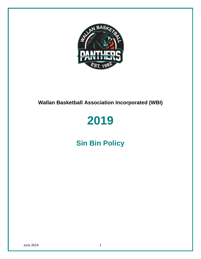

# **Wallan Basketball Association Incorporated (WBI)**

# 2019

# **Sin Bin Policy**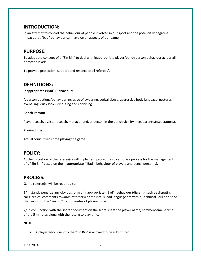# **INTRODUCTION:**

In an attempt to control the behaviour of people involved in our sport and the potentially negative impact that "bad" behaviour can have on all aspects of our game.

# **PURPOSE:**

To adopt the concept of a "Sin Bin" to deal with inappropriate player/bench person behaviour across all domestic levels.

To provide protection, support and respect to all referees'.

# **DEFINITIONS:**

#### **Inappropriate ('Bad") Behaviour:**

A person's actions/behaviour inclusive of swearing, verbal abuse, aggressive body language, gestures, eyeballing, dirty looks, disputing and criticising.

#### **Bench Person:**

Player, coach, assistant coach, manager and/or person in the bench vicinity – eg. parent(s)/spectator(s).

#### **Playing time:**

Actual court (fixed) time playing the game.

# **POLICY:**

At the discretion of the referee(s) will implement procedures to ensure a process for the management of a "Sin Bin" based on the Inappropriate ("Bad") behaviour of players and bench person(s).

# **PROCESS:**

Game referee(s) will be required to:-

1/ Instantly penalize any obvious form of Inappropriate ('Bad") behaviour (dissent), such as disputing calls, critical comments towards referee(s) or their calls, bad language etc with a Technical Foul and send the person to the "Sin Bin" for 5 minutes of playing time.

2/ In conjunction with the scorer document on the score sheet the player name, commencement time of the 5 minutes along with the return to play time.

#### **NOTE:**

A player who is sent to the "Sin Bin" is allowed to be substituted.

June 2014 2